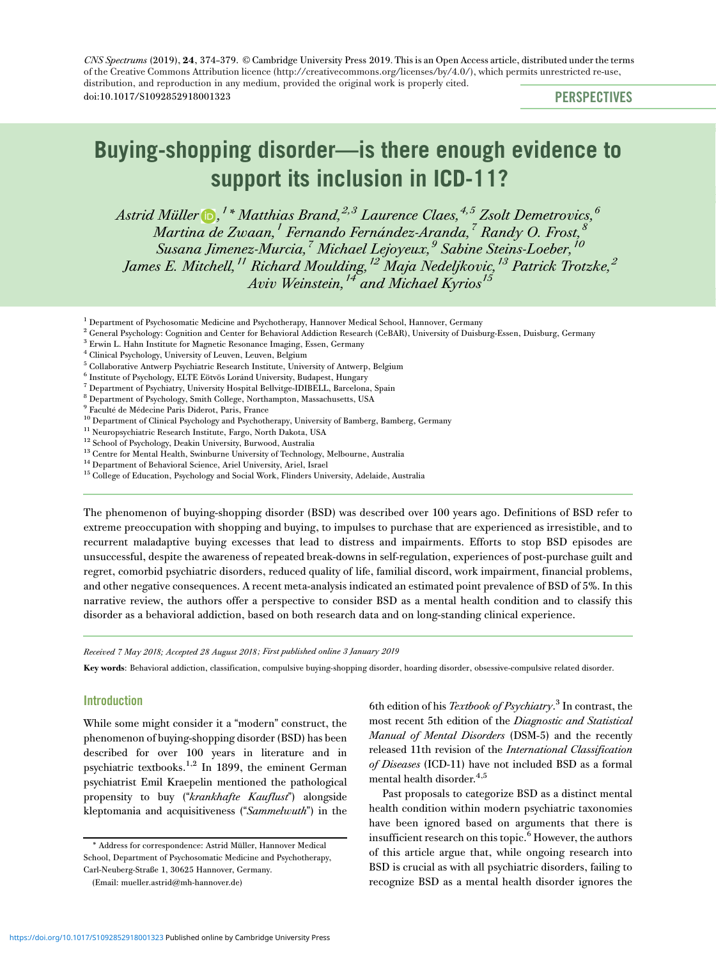CNS Spectrums (2019), 24, 374-379. © Cambridge University Press 2019. This is an Open Access article, distributed under the terms doi:10.1017/S1092852918001323 PERSPECTIVES of t[he Creative Commons Attribut](https://doi.org/10.1017/S1092852918001323)ion licence (http://creativecommons.org/licenses/by/4.0/), which permits unrestricted re-use, distribution, and reproduction in any medium, provided the original work is properly cited.

# Buying-shopping disorder—is there enough evidence to support its inclusion in ICD-11?

[Astrid Müller](http://orcid.org/0000-0001-6176-2947)  $\mathbf{D}$ , <sup>1</sup>\* Matthias Brand.<sup>2,3</sup> Laurence Claes.<sup>4,5</sup> Zsolt Demetrovics.<sup>6</sup> M[a](http://orcid.org/0000-0001-6176-2947)rtina [d](http://orcid.org/0000-0001-6176-2947)e Zwaan,<sup>1</sup> Fernando Fernández-Aranda,<sup>7</sup> Randy O. Frost, Susana Jimenez-Murcia,<sup>7</sup> Michael Lejoyeux,<sup>9</sup> Sabine Steins-Loeber,<sup>10</sup> James E. Mitchell,<sup>11</sup> Richard Moulding,<sup>12</sup> Maja Nedeljkovic,<sup>13</sup> Patrick Trotzke,<sup>2</sup> Aviv Weinstein,<sup>14</sup> and Michael Kyrios<sup>15</sup>

<sup>1</sup> Department of Psychosomatic Medicine and Psychotherapy, Hannover Medical School, Hannover, Germany

<sup>2</sup> General Psychology: Cognition and Center for Behavioral Addiction Research (CeBAR), University of Duisburg-Essen, Duisburg, Germany

- <sup>7</sup> Department of Psychiatry, University Hospital Bellvitge-IDIBELL, Barcelona, Spain
- <sup>8</sup> Department of Psychology, Smith College, Northampton, Massachusetts, USA
- <sup>9</sup> Faculté de Médecine Paris Diderot, Paris, France

10 Department of Clinical Psychology and Psychotherapy, University of Bamberg, Bamberg, Germany

<sup>11</sup> Neuropsychiatric Research Institute, Fargo, North Dakota, USA

<sup>12</sup> School of Psychology, Deakin University, Burwood, Australia

- <sup>13</sup> Centre for Mental Health, Swinburne University of Technology, Melbourne, Australia
- <sup>14</sup> Department of Behavioral Science, Ariel University, Ariel, Israel
- <sup>15</sup> College of Education, Psychology and Social Work, Flinders University, Adelaide, Australia

The phenomenon of buying-shopping disorder (BSD) was described over 100 years ago. Definitions of BSD refer to extreme preoccupation with shopping and buying, to impulses to purchase that are experienced as irresistible, and to recurrent maladaptive buying excesses that lead to distress and impairments. Efforts to stop BSD episodes are unsuccessful, despite the awareness of repeated break-downs in self-regulation, experiences of post-purchase guilt and regret, comorbid psychiatric disorders, reduced quality of life, familial discord, work impairment, financial problems, and other negative consequences. A recent meta-analysis indicated an estimated point prevalence of BSD of 5%. In this narrative review, the authors offer a perspective to consider BSD as a mental health condition and to classify this disorder as a behavioral addiction, based on both research data and on long-standing clinical experience.

Received 7 May 2018; Accepted 28 August 2018 ; First published online 3 January 2019

Key words: Behavioral addiction, classification, compulsive buying-shopping disorder, hoarding disorder, obsessive-compulsive related disorder.

### **Introduction**

While some might consider it a "modern" construct, the phenomenon of buying-shopping disorder (BSD) has been described for over 100 years in literature and in psychiatric textbooks.1,2 In 1899, the eminent German psychiatrist Emil Kraepelin mentioned the pathological propensity to buy ("krankhafte Kauflust") alongside kleptomania and acquisitiveness ("Sammelwuth") in the

6th edition of his Textbook of Psychiatry.<sup>3</sup> In contrast, the most recent 5th edition of the Diagnostic and Statistical Manual of Mental Disorders (DSM-5) and the recently released 11th revision of the International Classification of Diseases (ICD-11) have not included BSD as a formal mental health disorder.<sup>4,5</sup>

Past proposals to categorize BSD as a distinct mental health condition within modern psychiatric taxonomies have been ignored based on arguments that there is insufficient research on this topic.<sup>6</sup> However, the authors of this article argue that, while ongoing research into BSD is crucial as with all psychiatric disorders, failing to recognize BSD as a mental health disorder ignores the

<sup>3</sup> Erwin L. Hahn Institute for Magnetic Resonance Imaging, Essen, Germany

<sup>4</sup> Clinical Psychology, University of Leuven, Leuven, Belgium

<sup>5</sup> Collaborative Antwerp Psychiatric Research Institute, University of Antwerp, Belgium

<sup>6</sup> Institute of Psychology, ELTE Eötvös Loránd University, Budapest, Hungary

<sup>\*</sup> Address for correspondence: Astrid Müller, Hannover Medical School, Department of Psychosomatic Medicine and Psychotherapy, Carl-Neuberg-Straße 1, 30625 Hannover, Germany.

<sup>(</sup>Email: [mueller.astrid@mh-hannover.de\)](mailto:mueller.astrid@mh-hannover.de)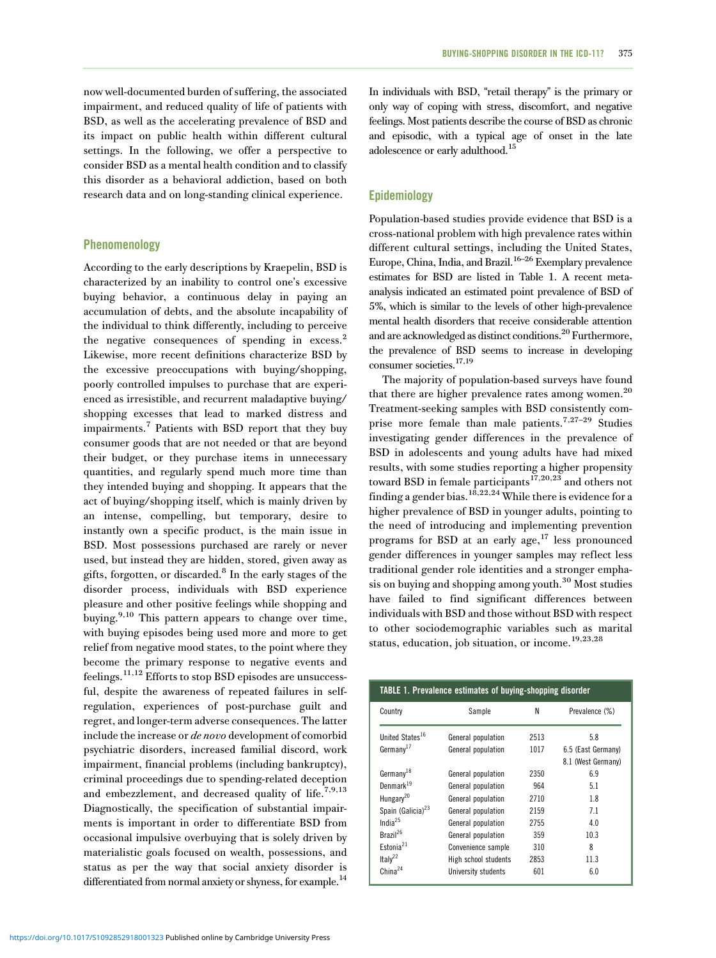now well-documented burden of suffering, the associated impairment, and reduced quality of life of patients with BSD, as well as the accelerating prevalence of BSD and its impact on public health within different cultural settings. In the following, we offer a perspective to consider BSD as a mental health condition and to classify this disorder as a behavioral addiction, based on both research data and on long-standing clinical experience.

# Phenomenology

According to the early descriptions by Kraepelin, BSD is characterized by an inability to control one's excessive buying behavior, a continuous delay in paying an accumulation of debts, and the absolute incapability of the individual to think differently, including to perceive the negative consequences of spending in excess.<sup>2</sup> Likewise, more recent definitions characterize BSD by the excessive preoccupations with buying/shopping, poorly controlled impulses to purchase that are experienced as irresistible, and recurrent maladaptive buying/ shopping excesses that lead to marked distress and impairments.<sup>7</sup> Patients with BSD report that they buy consumer goods that are not needed or that are beyond their budget, or they purchase items in unnecessary quantities, and regularly spend much more time than they intended buying and shopping. It appears that the act of buying/shopping itself, which is mainly driven by an intense, compelling, but temporary, desire to instantly own a specific product, is the main issue in BSD. Most possessions purchased are rarely or never used, but instead they are hidden, stored, given away as gifts, forgotten, or discarded.<sup>8</sup> In the early stages of the disorder process, individuals with BSD experience pleasure and other positive feelings while shopping and buying.<sup>9,10</sup> This pattern appears to change over time, with buying episodes being used more and more to get relief from negative mood states, to the point where they become the primary response to negative events and feelings.11,12 Efforts to stop BSD episodes are unsuccessful, despite the awareness of repeated failures in selfregulation, experiences of post-purchase guilt and regret, and longer-term adverse consequences. The latter include the increase or de novo development of comorbid psychiatric disorders, increased familial discord, work impairment, financial problems (including bankruptcy), criminal proceedings due to spending-related deception and embezzlement, and decreased quality of life.<sup>7,9,13</sup> Diagnostically, the specification of substantial impairments is important in order to differentiate BSD from occasional impulsive overbuying that is solely driven by materialistic goals focused on wealth, possessions, and status as per the way that social anxiety disorder is differentiated from normal anxiety or shyness, for example.<sup>14</sup>

In individuals with BSD, "retail therapy" is the primary or only way of coping with stress, discomfort, and negative feelings. Most patients describe the course of BSD as chronic and episodic, with a typical age of onset in the late adolescence or early adulthood.15

# Epidemiology

Population-based studies provide evidence that BSD is a cross-national problem with high prevalence rates within different cultural settings, including the United States, Europe, China, India, and Brazil.<sup>16–26</sup> Exemplary prevalence estimates for BSD are listed in Table 1. A recent metaanalysis indicated an estimated point prevalence of BSD of 5%, which is similar to the levels of other high-prevalence mental health disorders that receive considerable attention and are acknowledged as distinct conditions.<sup>20</sup> Furthermore, the prevalence of BSD seems to increase in developing consumer societies.<sup>17,19</sup>

The majority of population-based surveys have found that there are higher prevalence rates among women. $20$ Treatment-seeking samples with BSD consistently comprise more female than male patients.7,27–<sup>29</sup> Studies investigating gender differences in the prevalence of BSD in adolescents and young adults have had mixed results, with some studies reporting a higher propensity toward BSD in female participants<sup>17,20,23</sup> and others not finding a gender bias. $^{18,22,24}$  While there is evidence for a higher prevalence of BSD in younger adults, pointing to the need of introducing and implementing prevention programs for BSD at an early age, $17$  less pronounced gender differences in younger samples may reflect less traditional gender role identities and a stronger emphasis on buying and shopping among youth. $30$  Most studies have failed to find significant differences between individuals with BSD and those without BSD with respect to other sociodemographic variables such as marital status, education, job situation, or income.<sup>19,23,28</sup>

| TABLE 1. Prevalence estimates of buying-shopping disorder |                      |      |                    |
|-----------------------------------------------------------|----------------------|------|--------------------|
| Country                                                   | Sample               | Ν    | Prevalence (%)     |
| United States <sup>16</sup>                               | General population   | 2513 | 5.8                |
| Germanv <sup>17</sup>                                     | General population   | 1017 | 6.5 (East Germany) |
|                                                           |                      |      | 8.1 (West Germany) |
| Germany <sup>18</sup>                                     | General population   | 2350 | 6.9                |
| Denmark <sup>19</sup>                                     | General population   | 964  | 5.1                |
| Hungary <sup>20</sup>                                     | General population   | 2710 | 1.8                |
| Spain (Galicia) <sup>23</sup>                             | General population   | 2159 | 7.1                |
| India $^{25}$                                             | General population   | 2755 | 4.0                |
| Brazil <sup>26</sup>                                      | General population   | 359  | 10.3               |
| Estonia <sup>21</sup>                                     | Convenience sample   | 310  | 8                  |
| Italy <sup>22</sup>                                       | High school students | 2853 | 11.3               |
| China <sup>24</sup>                                       | University students  | 601  | 6.0                |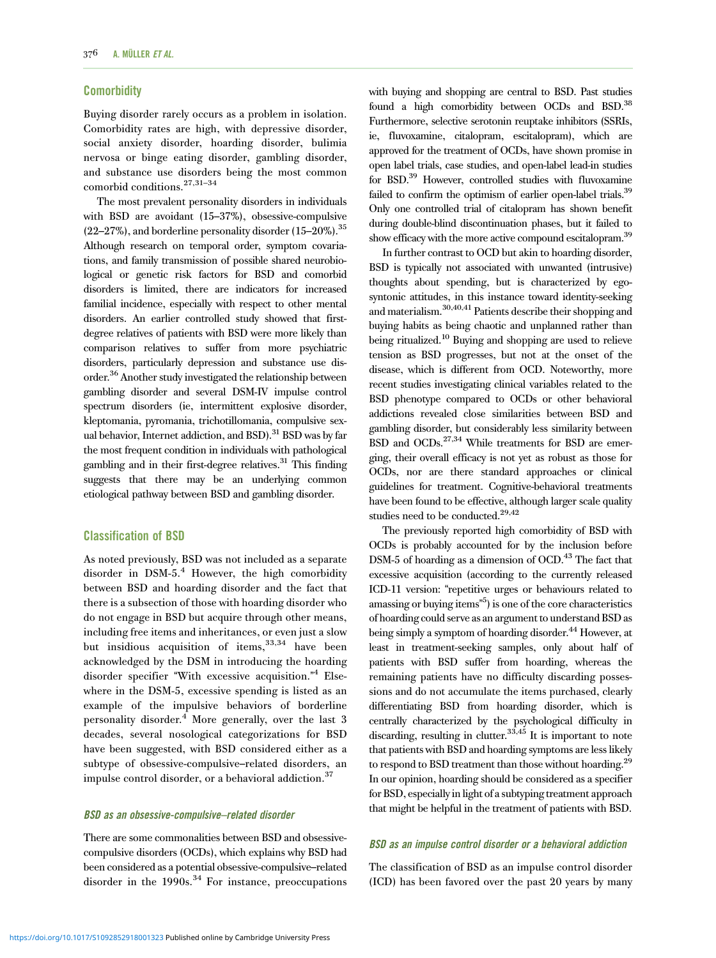#### **Comorbidity**

Buying disorder rarely occurs as a problem in isolation. Comorbidity rates are high, with depressive disorder, social anxiety disorder, hoarding disorder, bulimia nervosa or binge eating disorder, gambling disorder, and substance use disorders being the most common comorbid conditions.27,31–<sup>34</sup>

The most prevalent personality disorders in individuals with BSD are avoidant (15–37%), obsessive-compulsive  $(22-27\%)$ , and borderline personality disorder  $(15-20\%)$ .<sup>35</sup> Although research on temporal order, symptom covariations, and family transmission of possible shared neurobiological or genetic risk factors for BSD and comorbid disorders is limited, there are indicators for increased familial incidence, especially with respect to other mental disorders. An earlier controlled study showed that firstdegree relatives of patients with BSD were more likely than comparison relatives to suffer from more psychiatric disorders, particularly depression and substance use disorder.36 Another study investigated the relationship between gambling disorder and several DSM-IV impulse control spectrum disorders (ie, intermittent explosive disorder, kleptomania, pyromania, trichotillomania, compulsive sexual behavior, Internet addiction, and BSD).<sup>31</sup> BSD was by far the most frequent condition in individuals with pathological gambling and in their first-degree relatives.<sup>31</sup> This finding suggests that there may be an underlying common etiological pathway between BSD and gambling disorder.

## Classification of BSD

As noted previously, BSD was not included as a separate disorder in  $DSM-5.<sup>4</sup>$  However, the high comorbidity between BSD and hoarding disorder and the fact that there is a subsection of those with hoarding disorder who do not engage in BSD but acquire through other means, including free items and inheritances, or even just a slow but insidious acquisition of items,  $33,34$  have been acknowledged by the DSM in introducing the hoarding disorder specifier "With excessive acquisition." <sup>4</sup> Elsewhere in the DSM-5, excessive spending is listed as an example of the impulsive behaviors of borderline personality disorder.<sup>4</sup> More generally, over the last 3 decades, several nosological categorizations for BSD have been suggested, with BSD considered either as a subtype of obsessive-compulsive–related disorders, an impulse control disorder, or a behavioral addiction.<sup>37</sup>

#### BSD as an obsessive-compulsive–related disorder

There are some commonalities between BSD and obsessivecompulsive disorders (OCDs), which explains why BSD had been considered as a potential obsessive-compulsive–related disorder in the 1990s.<sup>34</sup> For instance, preoccupations with buying and shopping are central to BSD. Past studies found a high comorbidity between OCDs and BSD.<sup>38</sup> Furthermore, selective serotonin reuptake inhibitors (SSRIs, ie, fluvoxamine, citalopram, escitalopram), which are approved for the treatment of OCDs, have shown promise in open label trials, case studies, and open-label lead-in studies for BSD.<sup>39</sup> However, controlled studies with fluvoxamine failed to confirm the optimism of earlier open-label trials.<sup>39</sup> Only one controlled trial of citalopram has shown benefit during double-blind discontinuation phases, but it failed to show efficacy with the more active compound escitalopram.<sup>39</sup>

In further contrast to OCD but akin to hoarding disorder, BSD is typically not associated with unwanted (intrusive) thoughts about spending, but is characterized by egosyntonic attitudes, in this instance toward identity-seeking and materialism.30,40,41 Patients describe their shopping and buying habits as being chaotic and unplanned rather than being ritualized.<sup>10</sup> Buying and shopping are used to relieve tension as BSD progresses, but not at the onset of the disease, which is different from OCD. Noteworthy, more recent studies investigating clinical variables related to the BSD phenotype compared to OCDs or other behavioral addictions revealed close similarities between BSD and gambling disorder, but considerably less similarity between BSD and OCDs.<sup>27,34</sup> While treatments for BSD are emerging, their overall efficacy is not yet as robust as those for OCDs, nor are there standard approaches or clinical guidelines for treatment. Cognitive-behavioral treatments have been found to be effective, although larger scale quality studies need to be conducted.<sup>29,42</sup>

The previously reported high comorbidity of BSD with OCDs is probably accounted for by the inclusion before DSM-5 of hoarding as a dimension of OCD.<sup>43</sup> The fact that excessive acquisition (according to the currently released ICD-11 version: "repetitive urges or behaviours related to amassing or buying items" 5 ) is one of the core characteristics of hoarding could serve as an argument to understand BSD as being simply a symptom of hoarding disorder.<sup>44</sup> However, at least in treatment-seeking samples, only about half of patients with BSD suffer from hoarding, whereas the remaining patients have no difficulty discarding possessions and do not accumulate the items purchased, clearly differentiating BSD from hoarding disorder, which is centrally characterized by the psychological difficulty in discarding, resulting in clutter.<sup>33,45</sup> It is important to note that patients with BSD and hoarding symptoms are less likely to respond to BSD treatment than those without hoarding.<sup>29</sup> In our opinion, hoarding should be considered as a specifier for BSD, especiallyin light of a subtyping treatment approach that might be helpful in the treatment of patients with BSD.

#### BSD as an impulse control disorder or a behavioral addiction

The classification of BSD as an impulse control disorder (ICD) has been favored over the past 20 years by many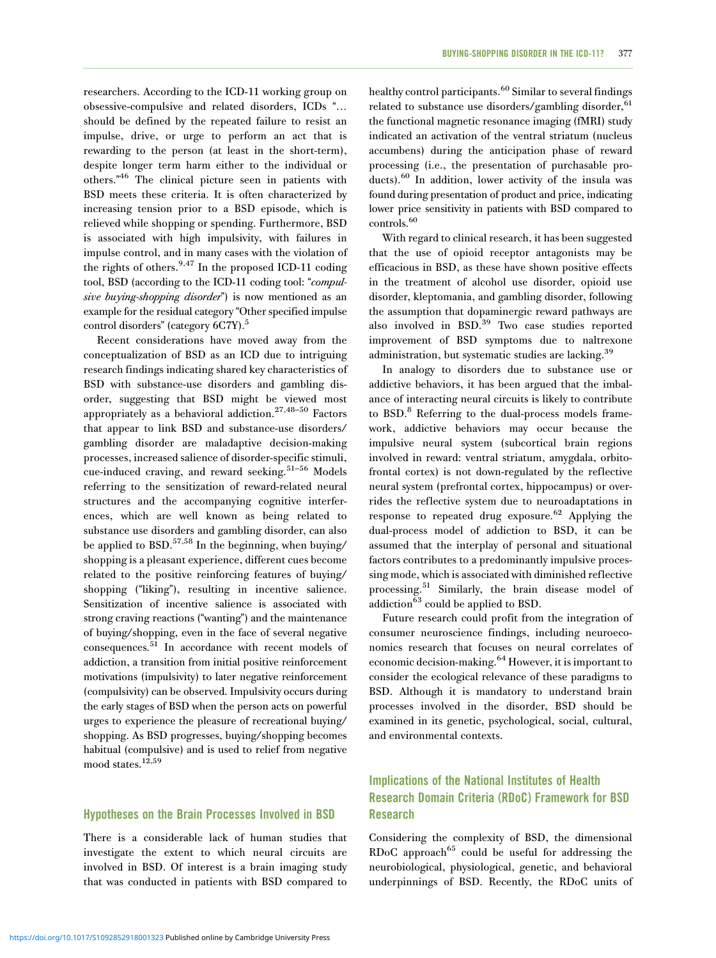researchers. According to the ICD-11 working group on obsessive-compulsive and related disorders, ICDs "… should be defined by the repeated failure to resist an impulse, drive, or urge to perform an act that is rewarding to the person (at least in the short-term), despite longer term harm either to the individual or others." <sup>46</sup> The clinical picture seen in patients with BSD meets these criteria. It is often characterized by increasing tension prior to a BSD episode, which is relieved while shopping or spending. Furthermore, BSD is associated with high impulsivity, with failures in impulse control, and in many cases with the violation of the rights of others.<sup>9,47</sup> In the proposed ICD-11 coding tool, BSD (according to the ICD-11 coding tool: "compulsive buying-shopping disorder") is now mentioned as an example for the residual category "Other specified impulse control disorders" (category 6C7Y).<sup>5</sup>

Recent considerations have moved away from the conceptualization of BSD as an ICD due to intriguing research findings indicating shared key characteristics of BSD with substance-use disorders and gambling disorder, suggesting that BSD might be viewed most appropriately as a behavioral addiction.<sup>27,48–50</sup> Factors that appear to link BSD and substance-use disorders/ gambling disorder are maladaptive decision-making processes, increased salience of disorder-specific stimuli, cue-induced craving, and reward seeking.<sup>51–56</sup> Models referring to the sensitization of reward-related neural structures and the accompanying cognitive interferences, which are well known as being related to substance use disorders and gambling disorder, can also be applied to BSD.<sup>57,58</sup> In the beginning, when buying/ shopping is a pleasant experience, different cues become related to the positive reinforcing features of buying/ shopping ("liking"), resulting in incentive salience. Sensitization of incentive salience is associated with strong craving reactions ("wanting") and the maintenance of buying/shopping, even in the face of several negative consequences.51 In accordance with recent models of addiction, a transition from initial positive reinforcement motivations (impulsivity) to later negative reinforcement (compulsivity) can be observed. Impulsivity occurs during the early stages of BSD when the person acts on powerful urges to experience the pleasure of recreational buying/ shopping. As BSD progresses, buying/shopping becomes habitual (compulsive) and is used to relief from negative mood states.12,59

# Hypotheses on the Brain Processes Involved in BSD

There is a considerable lack of human studies that investigate the extent to which neural circuits are involved in BSD. Of interest is a brain imaging study that was conducted in patients with BSD compared to

healthy control participants.<sup>60</sup> Similar to several findings related to substance use disorders/gambling disorder,  $61$ the functional magnetic resonance imaging (fMRI) study indicated an activation of the ventral striatum (nucleus accumbens) during the anticipation phase of reward processing (i.e., the presentation of purchasable products).<sup>60</sup> In addition, lower activity of the insula was found during presentation of product and price, indicating lower price sensitivity in patients with BSD compared to controls.<sup>60</sup>

With regard to clinical research, it has been suggested that the use of opioid receptor antagonists may be efficacious in BSD, as these have shown positive effects in the treatment of alcohol use disorder, opioid use disorder, kleptomania, and gambling disorder, following the assumption that dopaminergic reward pathways are also involved in BSD.<sup>39</sup> Two case studies reported improvement of BSD symptoms due to naltrexone administration, but systematic studies are lacking.<sup>39</sup>

In analogy to disorders due to substance use or addictive behaviors, it has been argued that the imbalance of interacting neural circuits is likely to contribute to BSD.<sup>8</sup> Referring to the dual-process models framework, addictive behaviors may occur because the impulsive neural system (subcortical brain regions involved in reward: ventral striatum, amygdala, orbitofrontal cortex) is not down-regulated by the reflective neural system (prefrontal cortex, hippocampus) or overrides the reflective system due to neuroadaptations in response to repeated drug exposure.<sup>62</sup> Applying the dual-process model of addiction to BSD, it can be assumed that the interplay of personal and situational factors contributes to a predominantly impulsive processing mode, which is associated with diminished reflective processing.<sup>51</sup> Similarly, the brain disease model of addiction<sup>63</sup> could be applied to BSD.

Future research could profit from the integration of consumer neuroscience findings, including neuroeconomics research that focuses on neural correlates of economic decision-making.<sup>64</sup> However, it is important to consider the ecological relevance of these paradigms to BSD. Although it is mandatory to understand brain processes involved in the disorder, BSD should be examined in its genetic, psychological, social, cultural, and environmental contexts.

# Implications of the National Institutes of Health Research Domain Criteria (RDoC) Framework for BSD Research

Considering the complexity of BSD, the dimensional RDoC approach<sup>65</sup> could be useful for addressing the neurobiological, physiological, genetic, and behavioral underpinnings of BSD. Recently, the RDoC units of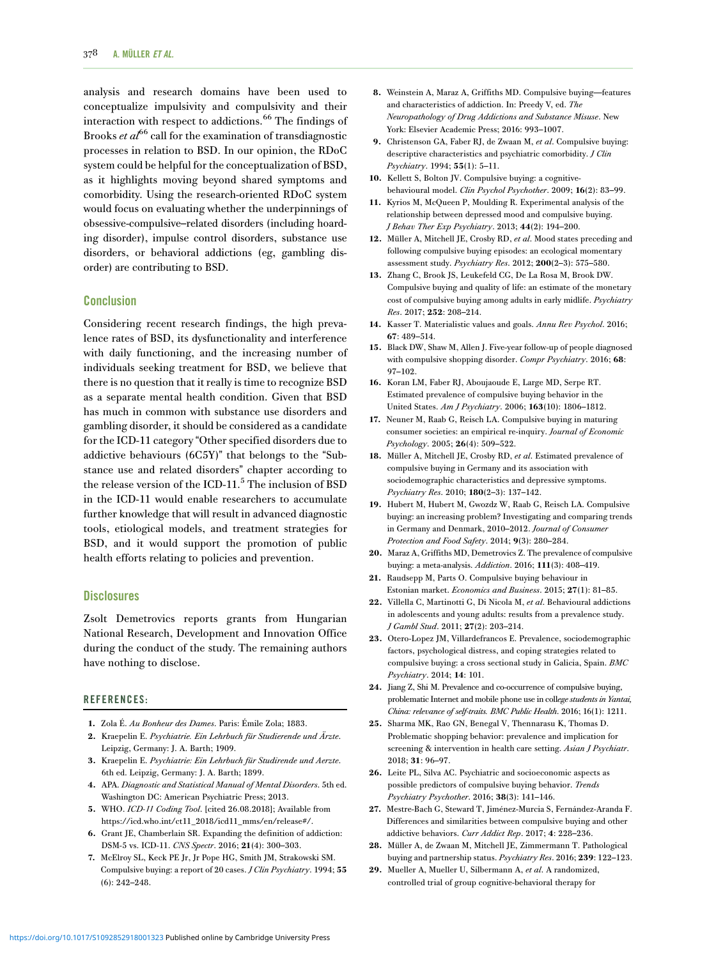analysis and research domains have been used to conceptualize impulsivity and compulsivity and their interaction with respect to addictions.<sup>66</sup> The findings of Brooks  $et \, al^{66}$  call for the examination of transdiagnostic processes in relation to BSD. In our opinion, the RDoC system could be helpful for the conceptualization of BSD, as it highlights moving beyond shared symptoms and comorbidity. Using the research-oriented RDoC system would focus on evaluating whether the underpinnings of obsessive-compulsive–related disorders (including hoarding disorder), impulse control disorders, substance use disorders, or behavioral addictions (eg, gambling disorder) are contributing to BSD.

#### Conclusion

Considering recent research findings, the high prevalence rates of BSD, its dysfunctionality and interference with daily functioning, and the increasing number of individuals seeking treatment for BSD, we believe that there is no question that it really is time to recognize BSD as a separate mental health condition. Given that BSD has much in common with substance use disorders and gambling disorder, it should be considered as a candidate for the ICD-11 category "Other specified disorders due to addictive behaviours (6C5Y)" that belongs to the "Substance use and related disorders" chapter according to the release version of the ICD-11.<sup>5</sup> The inclusion of BSD in the ICD-11 would enable researchers to accumulate further knowledge that will result in advanced diagnostic tools, etiological models, and treatment strategies for BSD, and it would support the promotion of public health efforts relating to policies and prevention.

#### **Disclosures**

Zsolt Demetrovics reports grants from Hungarian National Research, Development and Innovation Office during the conduct of the study. The remaining authors have nothing to disclose.

#### REFERENCES:

- 1. Zola É. Au Bonheur des Dames. Paris: Émile Zola; 1883.
- 2. Kraepelin E. Psychiatrie. Ein Lehrbuch für Studierende und Ärzte. Leipzig, Germany: J. A. Barth; 1909.
- 3. Kraepelin E. Psychiatrie: Ein Lehrbuch für Studirende und Aerzte. 6th ed. Leipzig, Germany: J. A. Barth; 1899.
- 4. APA. Diagnostic and Statistical Manual of Mental Disorders. 5th ed. Washington DC: American Psychiatric Press; 2013.
- 5. WHO. ICD-11 Coding Tool. [cited 26.08.2018]; Available from https://icd.who.int/ct11\_2018/icd11\_mms/en/release#/.
- 6. Grant JE, Chamberlain SR. Expanding the definition of addiction: DSM-5 vs. ICD-11. CNS Spectr. 2016; 21(4): 300–303.
- 7. McElroy SL, Keck PE Jr, Jr Pope HG, Smith JM, Strakowski SM. Compulsive buying: a report of 20 cases. J Clin Psychiatry. 1994; 55 (6): 242–248.
- 8. Weinstein A, Maraz A, Griffiths MD. Compulsive buying—features and characteristics of addiction. In: Preedy V, ed. The Neuropathology of Drug Addictions and Substance Misuse. New York: Elsevier Academic Press; 2016: 993–1007.
- 9. Christenson GA, Faber RJ, de Zwaan M, et al. Compulsive buying: descriptive characteristics and psychiatric comorbidity. *J Clin* Psychiatry. 1994; 55(1): 5–11.
- 10. Kellett S, Bolton JV. Compulsive buying: a cognitivebehavioural model. Clin Psychol Psychother. 2009; 16(2): 83–99.
- 11. Kyrios M, McQueen P, Moulding R. Experimental analysis of the relationship between depressed mood and compulsive buying. J Behav Ther Exp Psychiatry. 2013; 44(2): 194–200.
- 12. Müller A, Mitchell JE, Crosby RD, et al. Mood states preceding and following compulsive buying episodes: an ecological momentary assessment study. Psychiatry Res. 2012; 200(2–3): 575–580.
- 13. Zhang C, Brook JS, Leukefeld CG, De La Rosa M, Brook DW. Compulsive buying and quality of life: an estimate of the monetary cost of compulsive buying among adults in early midlife. Psychiatry Res. 2017; 252: 208–214.
- 14. Kasser T. Materialistic values and goals. Annu Rev Psychol. 2016; 67: 489–514.
- 15. Black DW, Shaw M, Allen J. Five-year follow-up of people diagnosed with compulsive shopping disorder. Compr Psychiatry. 2016; 68: 97–102.
- 16. Koran LM, Faber RJ, Aboujaoude E, Large MD, Serpe RT. Estimated prevalence of compulsive buying behavior in the United States. Am J Psychiatry. 2006; 163(10): 1806–1812.
- 17. Neuner M, Raab G, Reisch LA. Compulsive buying in maturing consumer societies: an empirical re-inquiry. Journal of Economic Psychology. 2005; 26(4): 509–522.
- 18. Müller A, Mitchell JE, Crosby RD, et al. Estimated prevalence of compulsive buying in Germany and its association with sociodemographic characteristics and depressive symptoms. Psychiatry Res. 2010; 180(2–3): 137–142.
- 19. Hubert M, Hubert M, Gwozdz W, Raab G, Reisch LA. Compulsive buying: an increasing problem? Investigating and comparing trends in Germany and Denmark, 2010–2012. Journal of Consumer Protection and Food Safety. 2014; 9(3): 280–284.
- 20. Maraz A, Griffiths MD, Demetrovics Z. The prevalence of compulsive buying: a meta-analysis. Addiction. 2016; 111(3): 408–419.
- 21. Raudsepp M, Parts O. Compulsive buying behaviour in Estonian market. Economics and Business. 2015; 27(1): 81–85.
- 22. Villella C, Martinotti G, Di Nicola M, et al. Behavioural addictions in adolescents and young adults: results from a prevalence study. J Gambl Stud. 2011; 27(2): 203–214.
- 23. Otero-Lopez JM, Villardefrancos E. Prevalence, sociodemographic factors, psychological distress, and coping strategies related to compulsive buying: a cross sectional study in Galicia, Spain. BMC Psychiatry. 2014; 14: 101.
- 24. Jiang Z, Shi M. Prevalence and co-occurrence of compulsive buying, problematic Internet and mobile phone use in college students in Yantai, China: relevance of self-traits. BMC Public Health. 2016; 16(1): 1211.
- 25. Sharma MK, Rao GN, Benegal V, Thennarasu K, Thomas D. Problematic shopping behavior: prevalence and implication for screening & intervention in health care setting. Asian J Psychiatr. 2018; 31: 96–97.
- 26. Leite PL, Silva AC. Psychiatric and socioeconomic aspects as possible predictors of compulsive buying behavior. Trends Psychiatry Psychother. 2016; 38(3): 141–146.
- 27. Mestre-Bach G, Steward T, Jiménez-Murcia S, Fernández-Aranda F. Differences and similarities between compulsive buying and other addictive behaviors. Curr Addict Rep. 2017; 4: 228–236.
- 28. Müller A, de Zwaan M, Mitchell JE, Zimmermann T. Pathological buying and partnership status. Psychiatry Res. 2016; 239: 122–123.
- 29. Mueller A, Mueller U, Silbermann A, et al. A randomized, controlled trial of group cognitive-behavioral therapy for